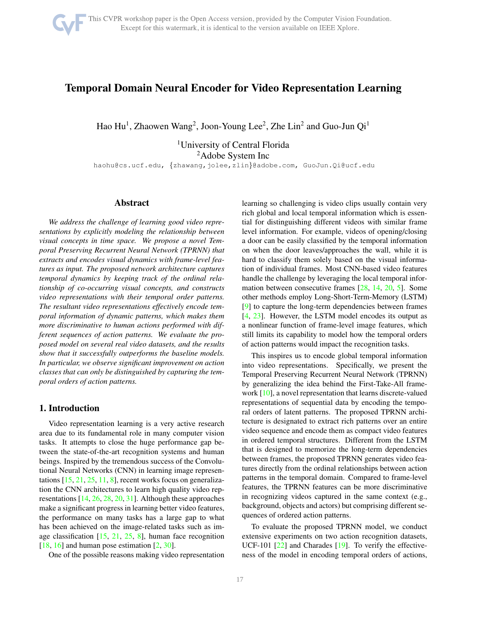# <span id="page-0-0"></span>Temporal Domain Neural Encoder for Video Representation Learning

Hao Hu<sup>1</sup>, Zhaowen Wang<sup>2</sup>, Joon-Young Lee<sup>2</sup>, Zhe Lin<sup>2</sup> and Guo-Jun Qi<sup>1</sup>

<sup>1</sup>University of Central Florida <sup>2</sup>Adobe System Inc haohu@cs.ucf.edu, {zhawang,jolee,zlin}@adobe.com, GuoJun.Qi@ucf.edu

# Abstract

*We address the challenge of learning good video representations by explicitly modeling the relationship between visual concepts in time space. We propose a novel Temporal Preserving Recurrent Neural Network (TPRNN) that extracts and encodes visual dynamics with frame-level features as input. The proposed network architecture captures temporal dynamics by keeping track of the ordinal relationship of co-occurring visual concepts, and constructs video representations with their temporal order patterns. The resultant video representations effectively encode temporal information of dynamic patterns, which makes them more discriminative to human actions performed with different sequences of action patterns. We evaluate the proposed model on several real video datasets, and the results show that it successfully outperforms the baseline models. In particular, we observe significant improvement on action classes that can only be distinguished by capturing the temporal orders of action patterns.*

## 1. Introduction

Video representation learning is a very active research area due to its fundamental role in many computer vision tasks. It attempts to close the huge performance gap between the state-of-the-art recognition systems and human beings. Inspired by the tremendous success of the Convolutional Neural Networks (CNN) in learning image representations  $[15, 21, 25, 11, 8]$  $[15, 21, 25, 11, 8]$  $[15, 21, 25, 11, 8]$  $[15, 21, 25, 11, 8]$  $[15, 21, 25, 11, 8]$  $[15, 21, 25, 11, 8]$  $[15, 21, 25, 11, 8]$  $[15, 21, 25, 11, 8]$ , recent works focus on generalization the CNN architectures to learn high quality video representations [\[14,](#page-7-5) [26,](#page-7-6) [28,](#page-7-7) [20,](#page-7-8) [31\]](#page-7-9). Although these approaches make a significant progress in learning better video features, the performance on many tasks has a large gap to what has been achieved on the image-related tasks such as image classification  $[15, 21, 25, 8]$  $[15, 21, 25, 8]$  $[15, 21, 25, 8]$  $[15, 21, 25, 8]$  $[15, 21, 25, 8]$  $[15, 21, 25, 8]$  $[15, 21, 25, 8]$ , human face recognition  $[18, 16]$  $[18, 16]$  $[18, 16]$  and human pose estimation  $[2, 30]$  $[2, 30]$  $[2, 30]$ .

One of the possible reasons making video representation

learning so challenging is video clips usually contain very rich global and local temporal information which is essential for distinguishing different videos with similar frame level information. For example, videos of opening/closing a door can be easily classified by the temporal information on when the door leaves/approaches the wall, while it is hard to classify them solely based on the visual information of individual frames. Most CNN-based video features handle the challenge by leveraging the local temporal information between consecutive frames [\[28,](#page-7-7) [14,](#page-7-5) [20,](#page-7-8) [5\]](#page-7-14). Some other methods employ Long-Short-Term-Memory (LSTM) [\[9\]](#page-7-15) to capture the long-term dependencies between frames [\[4,](#page-7-16) [23\]](#page-7-17). However, the LSTM model encodes its output as a nonlinear function of frame-level image features, which still limits its capability to model how the temporal orders of action patterns would impact the recognition tasks.

This inspires us to encode global temporal information into video representations. Specifically, we present the Temporal Preserving Recurrent Neural Network (TPRNN) by generalizing the idea behind the First-Take-All framework [\[10\]](#page-7-18), a novel representation that learns discrete-valued representations of sequential data by encoding the temporal orders of latent patterns. The proposed TPRNN architecture is designated to extract rich patterns over an entire video sequence and encode them as compact video features in ordered temporal structures. Different from the LSTM that is designed to memorize the long-term dependencies between frames, the proposed TPRNN generates video features directly from the ordinal relationships between action patterns in the temporal domain. Compared to frame-level features, the TPRNN features can be more discriminative in recognizing videos captured in the same context (e.g., background, objects and actors) but comprising different sequences of ordered action patterns.

To evaluate the proposed TPRNN model, we conduct extensive experiments on two action recognition datasets, UCF-101 [\[22\]](#page-7-19) and Charades [\[19\]](#page-7-20). To verify the effectiveness of the model in encoding temporal orders of actions,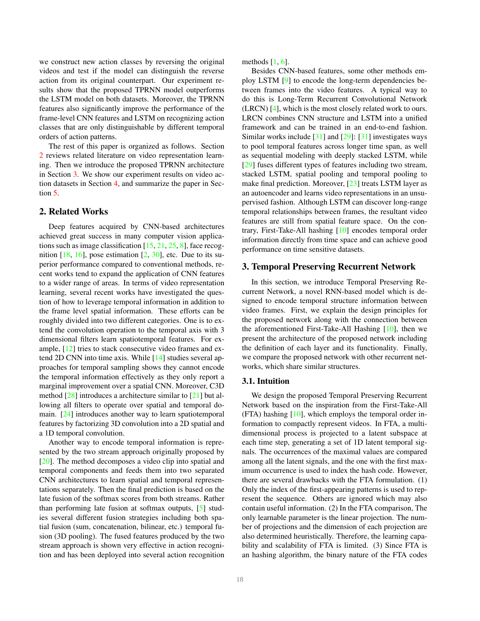<span id="page-1-2"></span>we construct new action classes by reversing the original videos and test if the model can distinguish the reverse action from its original counterpart. Our experiment results show that the proposed TPRNN model outperforms the LSTM model on both datasets. Moreover, the TPRNN features also significantly improve the performance of the frame-level CNN features and LSTM on recognizing action classes that are only distinguishable by different temporal orders of action patterns.

The rest of this paper is organized as follows. Section [2](#page-1-0) reviews related literature on video representation learning. Then we introduce the proposed TPRNN architecture in Section [3.](#page-1-1) We show our experiment results on video action datasets in Section [4,](#page-3-0) and summarize the paper in Section [5.](#page-6-0)

# <span id="page-1-0"></span>2. Related Works

Deep features acquired by CNN-based architectures achieved great success in many computer vision applications such as image classification  $[15, 21, 25, 8]$  $[15, 21, 25, 8]$  $[15, 21, 25, 8]$  $[15, 21, 25, 8]$  $[15, 21, 25, 8]$  $[15, 21, 25, 8]$ , face recognition  $[18, 16]$  $[18, 16]$  $[18, 16]$ , pose estimation  $[2, 30]$  $[2, 30]$ , etc. Due to its superior performance compared to conventional methods, recent works tend to expand the application of CNN features to a wider range of areas. In terms of video representation learning, several recent works have investigated the question of how to leverage temporal information in addition to the frame level spatial information. These efforts can be roughly divided into two different categories. One is to extend the convolution operation to the temporal axis with 3 dimensional filters learn spatiotemporal features. For example, [\[12\]](#page-7-21) tries to stack consecutive video frames and extend 2D CNN into time axis. While [\[14\]](#page-7-5) studies several approaches for temporal sampling shows they cannot encode the temporal information effectively as they only report a marginal improvement over a spatial CNN. Moreover, C3D method [\[28\]](#page-7-7) introduces a architecture similar to [\[21\]](#page-7-1) but allowing all filters to operate over spatial and temporal domain. [\[24\]](#page-7-22) introduces another way to learn spatiotemporal features by factorizing 3D convolution into a 2D spatial and a 1D temporal convolution.

Another way to encode temporal information is represented by the two stream approach originally proposed by [\[20\]](#page-7-8). The method decomposes a video clip into spatial and temporal components and feeds them into two separated CNN architectures to learn spatial and temporal representations separately. Then the final prediction is based on the late fusion of the softmax scores from both streams. Rather than performing late fusion at softmax outputs, [\[5\]](#page-7-14) studies several different fusion strategies including both spatial fusion (sum, concatenation, bilinear, etc.) temporal fusion (3D pooling). The fused features produced by the two stream approach is shown very effective in action recognition and has been deployed into several action recognition methods  $[1, 6]$  $[1, 6]$ .

Besides CNN-based features, some other methods employ LSTM [\[9\]](#page-7-15) to encode the long-term dependencies between frames into the video features. A typical way to do this is Long-Term Recurrent Convolutional Network (LRCN) [\[4\]](#page-7-16), which is the most closely related work to ours. LRCN combines CNN structure and LSTM into a unified framework and can be trained in an end-to-end fashion. Similar works include [\[31\]](#page-7-9) and [\[29\]](#page-7-24): [\[31\]](#page-7-9) investigates ways to pool temporal features across longer time span, as well as sequential modeling with deeply stacked LSTM, while [\[29\]](#page-7-24) fuses different types of features including two stream, stacked LSTM, spatial pooling and temporal pooling to make final prediction. Moreover, [\[23\]](#page-7-17) treats LSTM layer as an autoencoder and learns video representations in an unsupervised fashion. Although LSTM can discover long-range temporal relationships between frames, the resultant video features are still from spatial feature space. On the contrary, First-Take-All hashing [\[10\]](#page-7-18) encodes temporal order information directly from time space and can achieve good performance on time sensitive datasets.

# <span id="page-1-1"></span>3. Temporal Preserving Recurrent Network

In this section, we introduce Temporal Preserving Recurrent Network, a novel RNN-based model which is designed to encode temporal structure information between video frames. First, we explain the design principles for the proposed network along with the connection between the aforementioned First-Take-All Hashing [\[10\]](#page-7-18), then we present the architecture of the proposed network including the definition of each layer and its functionality. Finally, we compare the proposed network with other recurrent networks, which share similar structures.

## 3.1. Intuition

We design the proposed Temporal Preserving Recurrent Network based on the inspiration from the First-Take-All (FTA) hashing [\[10\]](#page-7-18), which employs the temporal order information to compactly represent videos. In FTA, a multidimensional process is projected to a latent subspace at each time step, generating a set of 1D latent temporal signals. The occurrences of the maximal values are compared among all the latent signals, and the one with the first maximum occurrence is used to index the hash code. However, there are several drawbacks with the FTA formulation. (1) Only the index of the first-appearing patterns is used to represent the sequence. Others are ignored which may also contain useful information. (2) In the FTA comparison, The only learnable parameter is the linear projection. The number of projections and the dimension of each projection are also determined heuristically. Therefore, the learning capability and scalability of FTA is limited. (3) Since FTA is an hashing algorithm, the binary nature of the FTA codes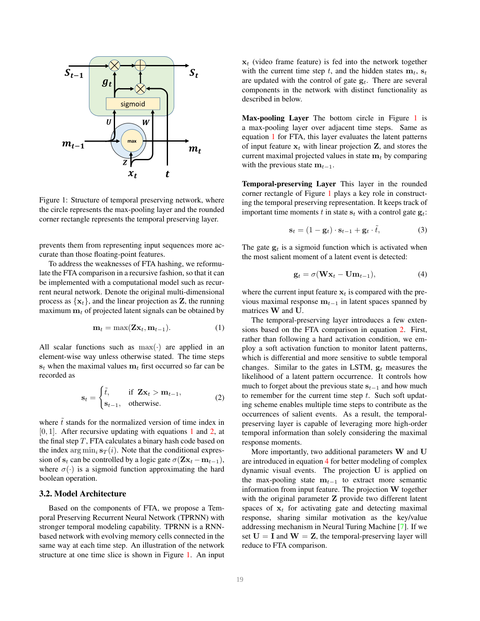<span id="page-2-4"></span><span id="page-2-2"></span>

Figure 1: Structure of temporal preserving network, where the circle represents the max-pooling layer and the rounded corner rectangle represents the temporal preserving layer.

prevents them from representing input sequences more accurate than those floating-point features.

To address the weaknesses of FTA hashing, we reformulate the FTA comparison in a recursive fashion, so that it can be implemented with a computational model such as recurrent neural network. Denote the original multi-dimensional process as  $\{x_t\}$ , and the linear projection as Z, the running maximum  $m_t$  of projected latent signals can be obtained by

<span id="page-2-0"></span>
$$
\mathbf{m}_t = \max(\mathbf{Z}\mathbf{x}_t, \mathbf{m}_{t-1}).\tag{1}
$$

All scalar functions such as  $max(\cdot)$  are applied in an element-wise way unless otherwise stated. The time steps  $s_t$  when the maximal values  $m_t$  first occurred so far can be recorded as

<span id="page-2-1"></span>
$$
\mathbf{s}_t = \begin{cases} \tilde{t}, & \text{if } \mathbf{Z} \mathbf{x}_t > \mathbf{m}_{t-1}, \\ \mathbf{s}_{t-1}, & \text{otherwise.} \end{cases} \tag{2}
$$

where  $\tilde{t}$  stands for the normalized version of time index in  $[0, 1]$  $[0, 1]$  $[0, 1]$ . After recursive updating with equations 1 and [2,](#page-2-1) at the final step  $T$ , FTA calculates a binary hash code based on the index  $\arg \min_i \mathbf{s}_T(i)$ . Note that the conditional expression of  $s_t$  can be controlled by a logic gate  $\sigma(Zx_t - m_{t-1}),$ where  $\sigma(\cdot)$  is a sigmoid function approximating the hard boolean operation.

# 3.2. Model Architecture

Based on the components of FTA, we propose a Temporal Preserving Recurrent Neural Network (TPRNN) with stronger temporal modeling capability. TPRNN is a RNNbased network with evolving memory cells connected in the same way at each time step. An illustration of the network structure at one time slice is shown in Figure [1.](#page-2-2) An input  $x_t$  (video frame feature) is fed into the network together with the current time step t, and the hidden states  $m_t$ ,  $s_t$ are updated with the control of gate  $g_t$ . There are several components in the network with distinct functionality as described in below.

Max-pooling Layer The bottom circle in Figure [1](#page-2-2) is a max-pooling layer over adjacent time steps. Same as equation [1](#page-2-0) for FTA, this layer evaluates the latent patterns of input feature  $x_t$  with linear projection Z, and stores the current maximal projected values in state  $m_t$  by comparing with the previous state  $m_{t-1}$ .

Temporal-preserving Layer This layer in the rounded corner rectangle of Figure [1](#page-2-2) plays a key role in constructing the temporal preserving representation. It keeps track of important time moments t in state  $s_t$  with a control gate  $g_t$ :

$$
\mathbf{s}_t = (1 - \mathbf{g}_t) \cdot \mathbf{s}_{t-1} + \mathbf{g}_t \cdot \tilde{t}, \tag{3}
$$

The gate  $g_t$  is a sigmoid function which is activated when the most salient moment of a latent event is detected:

<span id="page-2-3"></span>
$$
\mathbf{g}_t = \sigma(\mathbf{W}\mathbf{x}_t - \mathbf{U}\mathbf{m}_{t-1}),\tag{4}
$$

where the current input feature  $x_t$  is compared with the previous maximal response  $m_{t-1}$  in latent spaces spanned by matrices W and U.

The temporal-preserving layer introduces a few extensions based on the FTA comparison in equation [2.](#page-2-1) First, rather than following a hard activation condition, we employ a soft activation function to monitor latent patterns, which is differential and more sensitive to subtle temporal changes. Similar to the gates in LSTM,  $g_t$  measures the likelihood of a latent pattern occurrence. It controls how much to forget about the previous state  $s_{t-1}$  and how much to remember for the current time step  $t$ . Such soft updating scheme enables multiple time steps to contribute as the occurrences of salient events. As a result, the temporalpreserving layer is capable of leveraging more high-order temporal information than solely considering the maximal response moments.

More importantly, two additional parameters W and U are introduced in equation [4](#page-2-3) for better modeling of complex dynamic visual events. The projection U is applied on the max-pooling state  $m_{t-1}$  to extract more semantic information from input feature. The projection W together with the original parameter **Z** provide two different latent spaces of  $x_t$  for activating gate and detecting maximal response, sharing similar motivation as the key/value addressing mechanism in Neural Turing Machine [\[7\]](#page-7-25). If we set  $U = I$  and  $W = Z$ , the temporal-preserving layer will reduce to FTA comparison.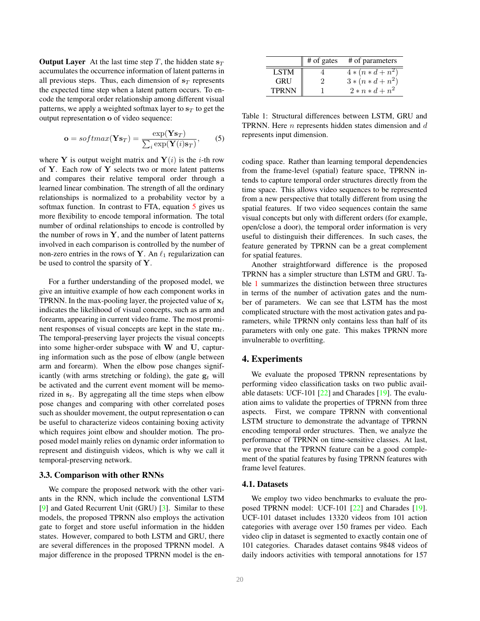<span id="page-3-4"></span>**Output Layer** At the last time step T, the hidden state  $s_T$ accumulates the occurrence information of latent patterns in all previous steps. Thus, each dimension of  $s_T$  represents the expected time step when a latent pattern occurs. To encode the temporal order relationship among different visual patterns, we apply a weighted softmax layer to  $s_T$  to get the output representation o of video sequence:

<span id="page-3-1"></span>
$$
\mathbf{o} = softmax(\mathbf{Y}\mathbf{s}_T) = \frac{\exp(\mathbf{Y}\mathbf{s}_T)}{\sum_i \exp(\mathbf{Y}(i)\mathbf{s}_T)},\qquad(5)
$$

where Y is output weight matrix and  $Y(i)$  is the *i*-th row of  $Y$ . Each row of  $Y$  selects two or more latent patterns and compares their relative temporal order through a learned linear combination. The strength of all the ordinary relationships is normalized to a probability vector by a softmax function. In contrast to FTA, equation [5](#page-3-1) gives us more flexibility to encode temporal information. The total number of ordinal relationships to encode is controlled by the number of rows in  $Y$ , and the number of latent patterns involved in each comparison is controlled by the number of non-zero entries in the rows of Y. An  $\ell_1$  regularization can be used to control the sparsity of Y.

For a further understanding of the proposed model, we give an intuitive example of how each component works in TPRNN. In the max-pooling layer, the projected value of  $x_t$ indicates the likelihood of visual concepts, such as arm and forearm, appearing in current video frame. The most prominent responses of visual concepts are kept in the state  $m_t$ . The temporal-preserving layer projects the visual concepts into some higher-order subspace with W and U, capturing information such as the pose of elbow (angle between arm and forearm). When the elbow pose changes significantly (with arms stretching or folding), the gate  $g_t$  will be activated and the current event moment will be memorized in  $s_t$ . By aggregating all the time steps when elbow pose changes and comparing with other correlated poses such as shoulder movement, the output representation o can be useful to characterize videos containing boxing activity which requires joint elbow and shoulder motion. The proposed model mainly relies on dynamic order information to represent and distinguish videos, which is why we call it temporal-preserving network.

#### <span id="page-3-3"></span>3.3. Comparison with other RNNs

We compare the proposed network with the other variants in the RNN, which include the conventional LSTM [\[9\]](#page-7-15) and Gated Recurrent Unit (GRU) [\[3\]](#page-7-26). Similar to these models, the proposed TPRNN also employs the activation gate to forget and store useful information in the hidden states. However, compared to both LSTM and GRU, there are several differences in the proposed TPRNN model. A major difference in the proposed TPRNN model is the en-

<span id="page-3-2"></span>

|              | $#$ of gates | # of parameters     |
|--------------|--------------|---------------------|
| <b>LSTM</b>  |              | $4 * (n * d + n^2)$ |
| <b>GRU</b>   |              | $3*(n*d+n^2)$       |
| <b>TPRNN</b> |              | $2 * n * d + n^2$   |

Table 1: Structural differences between LSTM, GRU and TPRNN. Here  $n$  represents hidden states dimension and  $d$ represents input dimension.

coding space. Rather than learning temporal dependencies from the frame-level (spatial) feature space, TPRNN intends to capture temporal order structures directly from the time space. This allows video sequences to be represented from a new perspective that totally different from using the spatial features. If two video sequences contain the same visual concepts but only with different orders (for example, open/close a door), the temporal order information is very useful to distinguish their differences. In such cases, the feature generated by TPRNN can be a great complement for spatial features.

Another straightforward difference is the proposed TPRNN has a simpler structure than LSTM and GRU. Table [1](#page-3-2) summarizes the distinction between three structures in terms of the number of activation gates and the number of parameters. We can see that LSTM has the most complicated structure with the most activation gates and parameters, while TPRNN only contains less than half of its parameters with only one gate. This makes TPRNN more invulnerable to overfitting.

### <span id="page-3-0"></span>4. Experiments

We evaluate the proposed TPRNN representations by performing video classification tasks on two public available datasets: UCF-101 [\[22\]](#page-7-19) and Charades [\[19\]](#page-7-20). The evaluation aims to validate the properties of TPRNN from three aspects. First, we compare TPRNN with conventional LSTM structure to demonstrate the advantage of TPRNN encoding temporal order structures. Then, we analyze the performance of TPRNN on time-sensitive classes. At last, we prove that the TPRNN feature can be a good complement of the spatial features by fusing TPRNN features with frame level features.

#### 4.1. Datasets

We employ two video benchmarks to evaluate the proposed TPRNN model: UCF-101 [\[22\]](#page-7-19) and Charades [\[19\]](#page-7-20). UCF-101 dataset includes 13320 videos from 101 action categories with average over 150 frames per video. Each video clip in dataset is segmented to exactly contain one of 101 categories. Charades dataset contains 9848 videos of daily indoors activities with temporal annotations for 157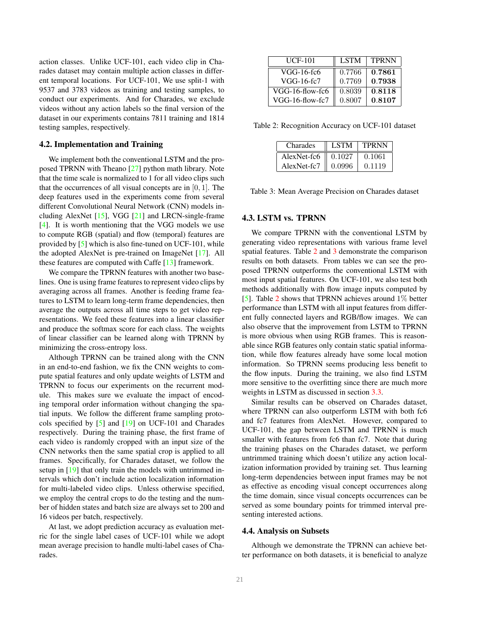<span id="page-4-3"></span>action classes. Unlike UCF-101, each video clip in Charades dataset may contain multiple action classes in different temporal locations. For UCF-101, We use split-1 with 9537 and 3783 videos as training and testing samples, to conduct our experiments. And for Charades, we exclude videos without any action labels so the final version of the dataset in our experiments contains 7811 training and 1814 testing samples, respectively.

## 4.2. Implementation and Training

We implement both the conventional LSTM and the proposed TPRNN with Theano [\[27\]](#page-7-27) python math library. Note that the time scale is normalized to 1 for all video clips such that the occurrences of all visual concepts are in  $[0, 1]$ . The deep features used in the experiments come from several different Convolutional Neural Network (CNN) models including AlexNet [\[15\]](#page-7-0), VGG [\[21\]](#page-7-1) and LRCN-single-frame [\[4\]](#page-7-16). It is worth mentioning that the VGG models we use to compute RGB (spatial) and flow (temporal) features are provided by [\[5\]](#page-7-14) which is also fine-tuned on UCF-101, while the adopted AlexNet is pre-trained on ImageNet [\[17\]](#page-7-28). All these features are computed with Caffe [\[13\]](#page-7-29) framework.

We compare the TPRNN features with another two baselines. One is using frame features to represent video clips by averaging across all frames. Another is feeding frame features to LSTM to learn long-term frame dependencies, then average the outputs across all time steps to get video representations. We feed these features into a linear classifier and produce the softmax score for each class. The weights of linear classifier can be learned along with TPRNN by minimizing the cross-entropy loss.

Although TPRNN can be trained along with the CNN in an end-to-end fashion, we fix the CNN weights to compute spatial features and only update weights of LSTM and TPRNN to focus our experiments on the recurrent module. This makes sure we evaluate the impact of encoding temporal order information without changing the spatial inputs. We follow the different frame sampling protocols specified by [\[5\]](#page-7-14) and [\[19\]](#page-7-20) on UCF-101 and Charades respectively. During the training phase, the first frame of each video is randomly cropped with an input size of the CNN networks then the same spatial crop is applied to all frames. Specifically, for Charades dataset, we follow the setup in [\[19\]](#page-7-20) that only train the models with untrimmed intervals which don't include action localization information for multi-labeled video clips. Unless otherwise specified, we employ the central crops to do the testing and the number of hidden states and batch size are always set to 200 and 16 videos per batch, respectively.

At last, we adopt prediction accuracy as evaluation metric for the single label cases of UCF-101 while we adopt mean average precision to handle multi-label cases of Charades.

<span id="page-4-0"></span>

| <b>UCF-101</b>  | <b>LSTM</b> | <b>TPRNN</b> |
|-----------------|-------------|--------------|
| VGG-16-fc6      | 0.7766      | 0.7861       |
| VGG-16-fc7      | 0.7769      | 0.7938       |
| VGG-16-flow-fc6 | 0.8039      | 0.8118       |
| VGG-16-flow-fc7 | 0.8007      | 0.8107       |

<span id="page-4-1"></span>Table 2: Recognition Accuracy on UCF-101 dataset

| Charades    | <b>LSTM</b> | <b>TPRNN</b> |
|-------------|-------------|--------------|
| AlexNet-fc6 | 0.1027      | 0.1061       |
| AlexNet-fc7 | 0.0996      | 0.1119       |

Table 3: Mean Average Precision on Charades dataset

#### <span id="page-4-2"></span>4.3. LSTM vs. TPRNN

We compare TPRNN with the conventional LSTM by generating video representations with various frame level spatial features. Table [2](#page-4-0) and [3](#page-4-1) demonstrate the comparison results on both datasets. From tables we can see the proposed TPRNN outperforms the conventional LSTM with most input spatial features. On UCF-101, we also test both methods additionally with flow image inputs computed by [\[5\]](#page-7-14). Table [2](#page-4-0) shows that TPRNN achieves around 1% better performance than LSTM with all input features from different fully connected layers and RGB/flow images. We can also observe that the improvement from LSTM to TPRNN is more obvious when using RGB frames. This is reasonable since RGB features only contain static spatial information, while flow features already have some local motion information. So TPRNN seems producing less benefit to the flow inputs. During the training, we also find LSTM more sensitive to the overfitting since there are much more weights in LSTM as discussed in section [3.3.](#page-3-3)

Similar results can be observed on Charades dataset, where TPRNN can also outperform LSTM with both fc6 and fc7 features from AlexNet. However, compared to UCF-101, the gap between LSTM and TPRNN is much smaller with features from fc6 than fc7. Note that during the training phases on the Charades dataset, we perform untrimmed training which doesn't utilize any action localization information provided by training set. Thus learning long-term dependencies between input frames may be not as effective as encoding visual concept occurrences along the time domain, since visual concepts occurrences can be served as some boundary points for trimmed interval presenting interested actions.

### 4.4. Analysis on Subsets

Although we demonstrate the TPRNN can achieve better performance on both datasets, it is beneficial to analyze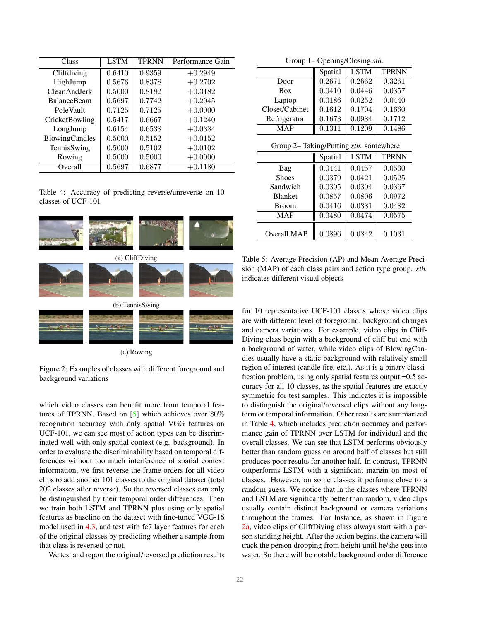<span id="page-5-3"></span><span id="page-5-0"></span>

| Class               | <b>LSTM</b> | <b>TPRNN</b>        | Performance Gain |
|---------------------|-------------|---------------------|------------------|
| Cliffdiving         | 0.6410      | $\overline{0.9359}$ | $+0.2949$        |
| HighJump            | 0.5676      | 0.8378              | $+0.2702$        |
| <b>CleanAndJerk</b> | 0.5000      | 0.8182              | $+0.3182$        |
| <b>BalanceBeam</b>  | 0.5697      | 0.7742              | $+0.2045$        |
| PoleVault           | 0.7125      | 0.7125              | $+0.0000$        |
| CricketBowling      | 0.5417      | 0.6667              | $+0.1240$        |
| LongJump            | 0.6154      | 0.6538              | $+0.0384$        |
| BlowingCandles      | 0.5000      | 0.5152              | $+0.0152$        |
| TennisSwing         | 0.5000      | 0.5102              | $+0.0102$        |
| Rowing              | 0.5000      | 0.5000              | $+0.0000$        |
| Overall             | 0.5697      | 0.6877              | $+0.1180$        |

Table 4: Accuracy of predicting reverse/unreverse on 10 classes of UCF-101

<span id="page-5-1"></span>

(c) Rowing

Figure 2: Examples of classes with different foreground and background variations

which video classes can benefit more from temporal features of TPRNN. Based on [\[5\]](#page-7-14) which achieves over 80% recognition accuracy with only spatial VGG features on UCF-101, we can see most of action types can be discriminated well with only spatial context (e.g. background). In order to evaluate the discriminability based on temporal differences without too much interference of spatial context information, we first reverse the frame orders for all video clips to add another 101 classes to the original dataset (total 202 classes after reverse). So the reversed classes can only be distinguished by their temporal order differences. Then we train both LSTM and TPRNN plus using only spatial features as baseline on the dataset with fine-tuned VGG-16 model used in [4.3,](#page-4-2) and test with fc7 layer features for each of the original classes by predicting whether a sample from that class is reversed or not.

We test and report the original/reversed prediction results

Group 1– Opening/Closing *sth.*

<span id="page-5-2"></span>

|                | Spatial | <b>LSTM</b> | <b>TPRNN</b> |
|----------------|---------|-------------|--------------|
| Door           | 0.2671  | 0.2662      | 0.3261       |
| <b>Box</b>     | 0.0410  | 0.0446      | 0.0357       |
| Laptop         | 0.0186  | 0.0252      | 0.0440       |
| Closet/Cabinet | 0.1612  | 0.1704      | 0.1660       |
| Refrigerator   | 0.1673  | 0.0984      | 0.1712       |
| <b>MAP</b>     | 0.1311  | 0.1209      | 0.1486       |

Group 2– Taking/Putting *sth.* somewhere

|                | Spatial | <b>LSTM</b> | <b>TPRNN</b> |
|----------------|---------|-------------|--------------|
| Bag            | 0.0441  | 0.0457      | 0.0530       |
| <b>Shoes</b>   | 0.0379  | 0.0421      | 0.0525       |
| Sandwich       | 0.0305  | 0.0304      | 0.0367       |
| <b>Blanket</b> | 0.0857  | 0.0806      | 0.0972       |
| <b>Broom</b>   | 0.0416  | 0.0381      | 0.0482       |
| <b>MAP</b>     | 0.0480  | 0.0474      | 0.0575       |
|                |         |             |              |
| Overall MAP    | 0.0896  | 0.0842      | 0.1031       |

Table 5: Average Precision (AP) and Mean Average Precision (MAP) of each class pairs and action type group. *sth.* indicates different visual objects

for 10 representative UCF-101 classes whose video clips are with different level of foreground, background changes and camera variations. For example, video clips in Cliff-Diving class begin with a background of cliff but end with a background of water, while video clips of BlowingCandles usually have a static background with relatively small region of interest (candle fire, etc.). As it is a binary classification problem, using only spatial features output =0.5 accuracy for all 10 classes, as the spatial features are exactly symmetric for test samples. This indicates it is impossible to distinguish the original/reversed clips without any longterm or temporal information. Other results are summarized in Table [4,](#page-5-0) which includes prediction accuracy and performance gain of TPRNN over LSTM for individual and the overall classes. We can see that LSTM performs obviously better than random guess on around half of classes but still produces poor results for another half. In contrast, TPRNN outperforms LSTM with a significant margin on most of classes. However, on some classes it performs close to a random guess. We notice that in the classes where TPRNN and LSTM are significantly better than random, video clips usually contain distinct background or camera variations throughout the frames. For Instance, as shown in Figure [2a,](#page-5-1) video clips of CliffDiving class always start with a person standing height. After the action begins, the camera will track the person dropping from height until he/she gets into water. So there will be notable background order difference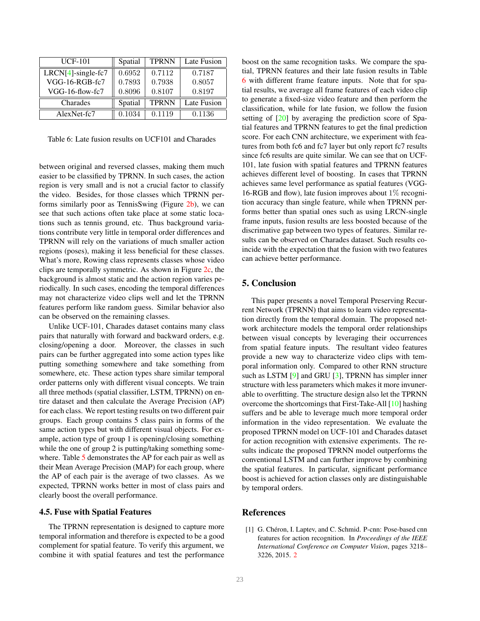<span id="page-6-3"></span><span id="page-6-2"></span>

| <b>UCF-101</b>        | Spatial | <b>TPRNN</b> | Late Fusion |
|-----------------------|---------|--------------|-------------|
| $LRCN[4]$ -single-fc7 | 0.6952  | 0.7112       | 0.7187      |
| VGG-16-RGB-fc7        | 0.7893  | 0.7938       | 0.8057      |
| VGG-16-flow-fc7       | 0.8096  | 0.8107       | 0.8197      |
| Charades              | Spatial | <b>TPRNN</b> | Late Fusion |
| AlexNet-fc7           | 0.1034  | 0.1119       | 0.1136      |

Table 6: Late fusion results on UCF101 and Charades

between original and reversed classes, making them much easier to be classified by TPRNN. In such cases, the action region is very small and is not a crucial factor to classify the video. Besides, for those classes which TPRNN performs similarly poor as TennisSwing (Figure [2b\)](#page-5-1), we can see that such actions often take place at some static locations such as tennis ground, etc. Thus background variations contribute very little in temporal order differences and TPRNN will rely on the variations of much smaller action regions (poses), making it less beneficial for these classes. What's more, Rowing class represents classes whose video clips are temporally symmetric. As shown in Figure [2c,](#page-5-1) the background is almost static and the action region varies periodically. In such cases, encoding the temporal differences may not characterize video clips well and let the TPRNN features perform like random guess. Similar behavior also can be observed on the remaining classes.

Unlike UCF-101, Charades dataset contains many class pairs that naturally with forward and backward orders, e.g. closing/opening a door. Moreover, the classes in such pairs can be further aggregated into some action types like putting something somewhere and take something from somewhere, etc. These action types share similar temporal order patterns only with different visual concepts. We train all three methods (spatial classifier, LSTM, TPRNN) on entire dataset and then calculate the Average Precision (AP) for each class. We report testing results on two different pair groups. Each group contains 5 class pairs in forms of the same action types but with different visual objects. For example, action type of group 1 is opening/closing something while the one of group 2 is putting/taking something some-where. Table [5](#page-5-2) demonstrates the AP for each pair as well as their Mean Average Precision (MAP) for each group, where the AP of each pair is the average of two classes. As we expected, TPRNN works better in most of class pairs and clearly boost the overall performance.

### 4.5. Fuse with Spatial Features

The TPRNN representation is designed to capture more temporal information and therefore is expected to be a good complement for spatial feature. To verify this argument, we combine it with spatial features and test the performance boost on the same recognition tasks. We compare the spatial, TPRNN features and their late fusion results in Table [6](#page-6-2) with different frame feature inputs. Note that for spatial results, we average all frame features of each video clip to generate a fixed-size video feature and then perform the classification, while for late fusion, we follow the fusion setting of [\[20\]](#page-7-8) by averaging the prediction score of Spatial features and TPRNN features to get the final prediction score. For each CNN architecture, we experiment with features from both fc6 and fc7 layer but only report fc7 results since fc6 results are quite similar. We can see that on UCF-101, late fusion with spatial features and TPRNN features achieves different level of boosting. In cases that TPRNN achieves same level performance as spatial features (VGG-16-RGB and flow), late fusion improves about 1% recognition accuracy than single feature, while when TPRNN performs better than spatial ones such as using LRCN-single frame inputs, fusion results are less boosted because of the discrimative gap between two types of features. Similar results can be observed on Charades dataset. Such results coincide with the expectation that the fusion with two features can achieve better performance.

## <span id="page-6-0"></span>5. Conclusion

This paper presents a novel Temporal Preserving Recurrent Network (TPRNN) that aims to learn video representation directly from the temporal domain. The proposed network architecture models the temporal order relationships between visual concepts by leveraging their occurrences from spatial feature inputs. The resultant video features provide a new way to characterize video clips with temporal information only. Compared to other RNN structure such as LSTM [\[9\]](#page-7-15) and GRU [\[3\]](#page-7-26), TPRNN has simpler inner structure with less parameters which makes it more invunerable to overfitting. The structure design also let the TPRNN overcome the shortcomings that First-Take-All [\[10\]](#page-7-18) hashing suffers and be able to leverage much more temporal order information in the video representation. We evaluate the proposed TPRNN model on UCF-101 and Charades dataset for action recognition with extensive experiments. The results indicate the proposed TPRNN model outperforms the conventional LSTM and can further improve by combining the spatial features. In particular, significant performance boost is achieved for action classes only are distinguishable by temporal orders.

# References

<span id="page-6-1"></span>[1] G. Chéron, I. Laptev, and C. Schmid. P-cnn: Pose-based cnn features for action recognition. In *Proceedings of the IEEE International Conference on Computer Vision*, pages 3218– 3226, 2015. [2](#page-1-2)